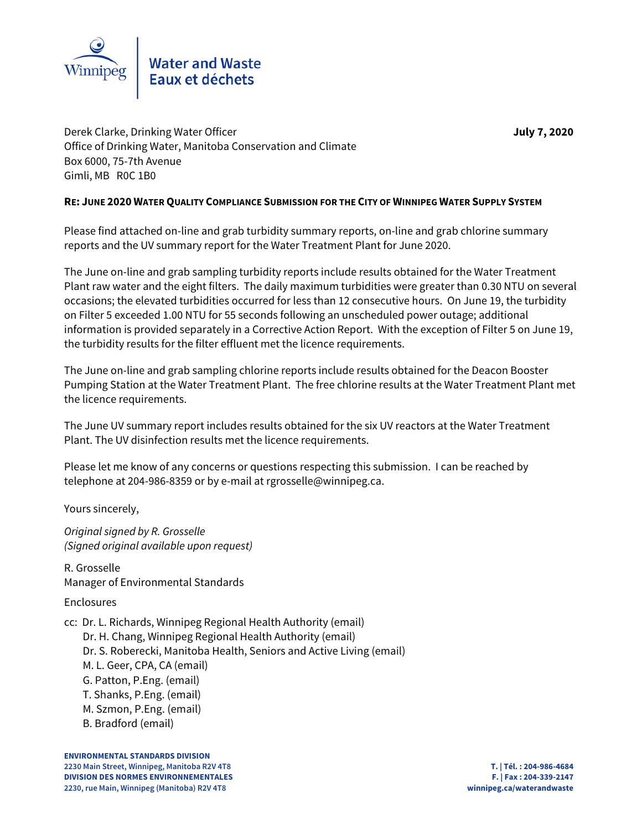

Derek Clarke, Drinking Water Officer **July 7, 2020** Office of Drinking Water, Manitoba Conservation and Climate Box 6000, 75-7th Avenue Gimli, MB R0C 1B0

## **RE: JUNE 2020 WATER QUALITY COMPLIANCE SUBMISSION FOR THE CITY OF WINNIPEG WATER SUPPLY SYSTEM**

Please find attached on-line and grab turbidity summary reports, on-line and grab chlorine summary reports and the UV summary report for the Water Treatment Plant for June 2020.

The June on-line and grab sampling turbidity reports include results obtained for the Water Treatment Plant raw water and the eight filters. The daily maximum turbidities were greater than 0.30 NTU on several occasions; the elevated turbidities occurred for less than 12 consecutive hours. On June 19, the turbidity on Filter 5 exceeded 1.00 NTU for 55 seconds following an unscheduled power outage; additional information is provided separately in a Corrective Action Report. With the exception of Filter 5 on June 19, the turbidity results for the filter effluent met the licence requirements.

The June on-line and grab sampling chlorine reports include results obtained for the Deacon Booster Pumping Station at the Water Treatment Plant. The free chlorine results at the Water Treatment Plant met the licence requirements.

The June UV summary report includes results obtained for the six UV reactors at the Water Treatment Plant. The UV disinfection results met the licence requirements.

Please let me know of any concerns or questions respecting this submission. I can be reached by telephone at 204-986-8359 or by e-mail at rgrosselle@winnipeg.ca.

Yours sincerely,

Original signed by R. Grosselle (Signed original available upon request)

R. Grosselle Manager of Environmental Standards

# Enclosures

cc: Dr. L. Richards, Winnipeg Regional Health Authority (email)

Dr. H. Chang, Winnipeg Regional Health Authority (email)

- Dr. S. Roberecki, Manitoba Health, Seniors and Active Living (email)
- M. L. Geer, CPA, CA (email)
- G. Patton, P.Eng. (email)
- T. Shanks, P.Eng. (email)
- M. Szmon, P.Eng. (email)
- B. Bradford (email)

**ENVIRONMENTAL STANDARDS DIVISION 2230 Main Street, Winnipeg, Manitoba R2V 4T8 T. | Tél. : 204-986-4684 DIVISION DES NORMES ENVIRONNEMENTALES F. | Fax : 204-339-2147 2230, rue Main, Winnipeg (Manitoba) R2V 4T8 winnipeg.ca/waterandwaste**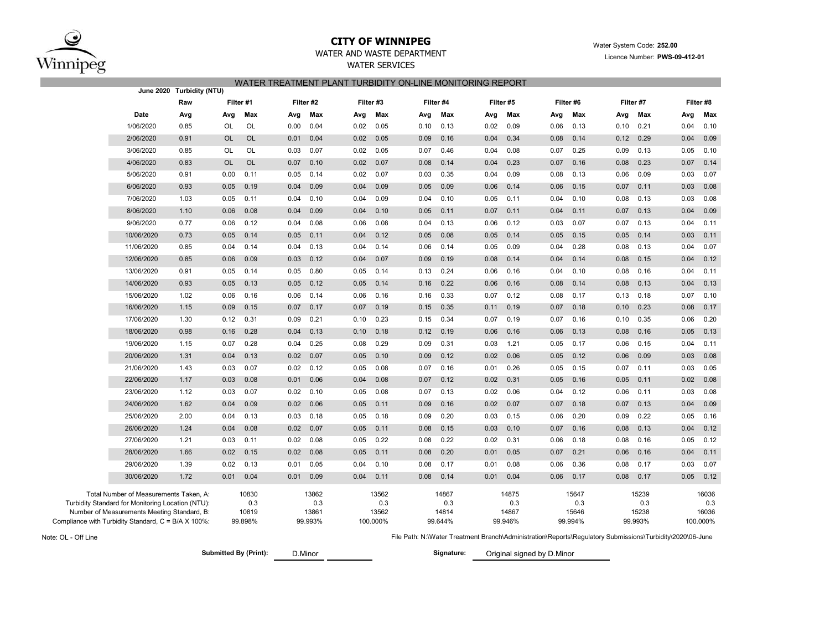

### **CITY OF WINNIPEG**WATER AND WASTE DEPARTMENT

## WATER SERVICES WATER TREATMENT PLANT TURBIDITY ON-LINE MONITORING REPORT

|                                                   | June 2020 Turbidity (NTU)                           |           |                  |      |                  |           |                   |      |                  |      |                  |      |                  |      |                  |      |                   |
|---------------------------------------------------|-----------------------------------------------------|-----------|------------------|------|------------------|-----------|-------------------|------|------------------|------|------------------|------|------------------|------|------------------|------|-------------------|
|                                                   | Raw                                                 |           | Filter #1        |      | Filter #2        | Filter #3 |                   |      | Filter #4        |      | Filter #5        |      | Filter #6        |      | Filter #7        |      | Filter #8         |
| Date                                              | Avg                                                 | Avg       | Max              | Avg  | Max              | Avg       | Max               | Avg  | Max              | Avg  | Max              | Avg  | Max              | Avg  | Max              | Avg  | Max               |
| 1/06/2020                                         | 0.85                                                | OL        | OL               | 0.00 | 0.04             | 0.02      | 0.05              | 0.10 | 0.13             | 0.02 | 0.09             | 0.06 | 0.13             | 0.10 | 0.21             | 0.04 | 0.10              |
| 2/06/2020                                         | 0.91                                                | OL        | <b>OL</b>        | 0.01 | 0.04             | 0.02      | 0.05              | 0.09 | 0.16             | 0.04 | 0.34             | 0.08 | 0.14             | 0.12 | 0.29             | 0.04 | 0.09              |
| 3/06/2020                                         | 0.85                                                | OL        | OL               | 0.03 | 0.07             | 0.02      | 0.05              | 0.07 | 0.46             | 0.04 | 0.08             | 0.07 | 0.25             | 0.09 | 0.13             | 0.05 | 0.10              |
| 4/06/2020                                         | 0.83                                                | <b>OL</b> | <b>OL</b>        | 0.07 | 0.10             | 0.02      | 0.07              | 0.08 | 0.14             | 0.04 | 0.23             | 0.07 | 0.16             | 0.08 | 0.23             | 0.07 | 0.14              |
| 5/06/2020                                         | 0.91                                                | 0.00      | 0.11             | 0.05 | 0.14             | 0.02      | 0.07              | 0.03 | 0.35             | 0.04 | 0.09             | 0.08 | 0.13             | 0.06 | 0.09             | 0.03 | 0.07              |
| 6/06/2020                                         | 0.93                                                | 0.05      | 0.19             | 0.04 | 0.09             | 0.04      | 0.09              | 0.05 | 0.09             | 0.06 | 0.14             | 0.06 | 0.15             | 0.07 | 0.11             | 0.03 | 0.08              |
| 7/06/2020                                         | 1.03                                                | 0.05      | 0.11             | 0.04 | 0.10             | 0.04      | 0.09              | 0.04 | 0.10             | 0.05 | 0.11             | 0.04 | 0.10             | 0.08 | 0.13             | 0.03 | 0.08              |
| 8/06/2020                                         | 1.10                                                | 0.06      | 0.08             | 0.04 | 0.09             | 0.04      | 0.10              | 0.05 | 0.11             | 0.07 | 0.11             | 0.04 | 0.11             | 0.07 | 0.13             | 0.04 | 0.09              |
| 9/06/2020                                         | 0.77                                                | 0.06      | 0.12             | 0.04 | 0.08             | 0.06      | 0.08              | 0.04 | 0.13             | 0.06 | 0.12             | 0.03 | 0.07             | 0.07 | 0.13             | 0.04 | 0.11              |
| 10/06/2020                                        | 0.73                                                | 0.05      | 0.14             | 0.05 | 0.11             | 0.04      | 0.12              | 0.05 | 0.08             | 0.05 | 0.14             | 0.05 | 0.15             | 0.05 | 0.14             | 0.03 | 0.11              |
| 11/06/2020                                        | 0.85                                                | 0.04      | 0.14             | 0.04 | 0.13             | 0.04      | 0.14              | 0.06 | 0.14             | 0.05 | 0.09             | 0.04 | 0.28             | 0.08 | 0.13             | 0.04 | 0.07              |
| 12/06/2020                                        | 0.85                                                | 0.06      | 0.09             | 0.03 | 0.12             | 0.04      | 0.07              | 0.09 | 0.19             | 0.08 | 0.14             | 0.04 | 0.14             | 0.08 | 0.15             | 0.04 | 0.12              |
| 13/06/2020                                        | 0.91                                                | 0.05      | 0.14             | 0.05 | 0.80             | 0.05      | 0.14              | 0.13 | 0.24             | 0.06 | 0.16             | 0.04 | 0.10             | 0.08 | 0.16             | 0.04 | 0.11              |
| 14/06/2020                                        | 0.93                                                | 0.05      | 0.13             | 0.05 | 0.12             | 0.05      | 0.14              | 0.16 | 0.22             | 0.06 | 0.16             | 0.08 | 0.14             | 0.08 | 0.13             | 0.04 | 0.13              |
| 15/06/2020                                        | 1.02                                                | 0.06      | 0.16             | 0.06 | 0.14             | 0.06      | 0.16              | 0.16 | 0.33             | 0.07 | 0.12             | 0.08 | 0.17             | 0.13 | 0.18             | 0.07 | 0.10              |
| 16/06/2020                                        | 1.15                                                | 0.09      | 0.15             | 0.07 | 0.17             | 0.07      | 0.19              | 0.15 | 0.35             | 0.11 | 0.19             | 0.07 | 0.18             | 0.10 | 0.23             | 0.08 | 0.17              |
| 17/06/2020                                        | 1.30                                                | 0.12      | 0.31             | 0.09 | 0.21             | 0.10      | 0.23              | 0.15 | 0.34             | 0.07 | 0.19             | 0.07 | 0.16             | 0.10 | 0.35             | 0.06 | 0.20              |
| 18/06/2020                                        | 0.98                                                | 0.16      | 0.28             | 0.04 | 0.13             | 0.10      | 0.18              | 0.12 | 0.19             | 0.06 | 0.16             | 0.06 | 0.13             | 0.08 | 0.16             | 0.05 | 0.13              |
| 19/06/2020                                        | 1.15                                                | 0.07      | 0.28             | 0.04 | 0.25             | 0.08      | 0.29              | 0.09 | 0.31             | 0.03 | 1.21             | 0.05 | 0.17             | 0.06 | 0.15             | 0.04 | 0.11              |
| 20/06/2020                                        | 1.31                                                | 0.04      | 0.13             | 0.02 | 0.07             | 0.05      | 0.10              | 0.09 | 0.12             | 0.02 | 0.06             | 0.05 | 0.12             | 0.06 | 0.09             | 0.03 | 0.08              |
| 21/06/2020                                        | 1.43                                                | 0.03      | 0.07             | 0.02 | 0.12             | 0.05      | 0.08              | 0.07 | 0.16             | 0.01 | 0.26             | 0.05 | 0.15             | 0.07 | 0.11             | 0.03 | 0.05              |
| 22/06/2020                                        | 1.17                                                | 0.03      | 0.08             | 0.01 | 0.06             | 0.04      | 0.08              | 0.07 | 0.12             | 0.02 | 0.31             | 0.05 | 0.16             | 0.05 | 0.11             | 0.02 | 0.08              |
| 23/06/2020                                        | 1.12                                                | 0.03      | 0.07             | 0.02 | 0.10             | 0.05      | 0.08              | 0.07 | 0.13             | 0.02 | 0.06             | 0.04 | 0.12             | 0.06 | 0.11             | 0.03 | 0.08              |
| 24/06/2020                                        | 1.62                                                | 0.04      | 0.09             | 0.02 | 0.06             | 0.05      | 0.11              | 0.09 | 0.16             | 0.02 | 0.07             | 0.07 | 0.18             | 0.07 | 0.13             | 0.04 | 0.09              |
| 25/06/2020                                        | 2.00                                                | 0.04      | 0.13             | 0.03 | 0.18             | 0.05      | 0.18              | 0.09 | 0.20             | 0.03 | 0.15             | 0.06 | 0.20             | 0.09 | 0.22             | 0.05 | 0.16              |
| 26/06/2020                                        | 1.24                                                | 0.04      | 0.08             | 0.02 | 0.07             | 0.05      | 0.11              | 0.08 | 0.15             | 0.03 | 0.10             | 0.07 | 0.16             | 0.08 | 0.13             | 0.04 | 0.12              |
| 27/06/2020                                        | 1.21                                                | 0.03      | 0.11             | 0.02 | 0.08             | 0.05      | 0.22              | 0.08 | 0.22             | 0.02 | 0.31             | 0.06 | 0.18             | 0.08 | 0.16             | 0.05 | 0.12              |
| 28/06/2020                                        | 1.66                                                | 0.02      | 0.15             | 0.02 | 0.08             | 0.05      | 0.11              | 0.08 | 0.20             | 0.01 | 0.05             | 0.07 | 0.21             | 0.06 | 0.16             | 0.04 | 0.11              |
| 29/06/2020                                        | 1.39                                                | 0.02      | 0.13             | 0.01 | 0.05             | 0.04      | 0.10              | 0.08 | 0.17             | 0.01 | 0.08             | 0.06 | 0.36             | 0.08 | 0.17             | 0.03 | 0.07              |
| 30/06/2020                                        | 1.72                                                | 0.01      | 0.04             | 0.01 | 0.09             | 0.04      | 0.11              | 0.08 | 0.14             | 0.01 | 0.04             | 0.06 | 0.17             | 0.08 | 0.17             | 0.05 | 0.12              |
| Total Number of Measurements Taken, A:            |                                                     |           | 10830            |      | 13862            |           | 13562             |      | 14867            |      | 14875            |      | 15647            |      | 15239            |      | 16036             |
| Turbidity Standard for Monitoring Location (NTU): |                                                     |           | 0.3              |      | 0.3              |           | 0.3               |      | 0.3              |      | 0.3              |      | 0.3              |      | 0.3              |      | 0.3               |
| Number of Measurements Meeting Standard, B:       | Compliance with Turbidity Standard, C = B/A X 100%: |           | 10819<br>99.898% |      | 13861<br>99.993% |           | 13562<br>100.000% |      | 14814<br>99.644% |      | 14867<br>99.946% |      | 15646<br>99.994% |      | 15238<br>99.993% |      | 16036<br>100.000% |

Note: OL - Off Line

D.Minor

**Submitted By (Print): Signature:** Original signed by D.Minor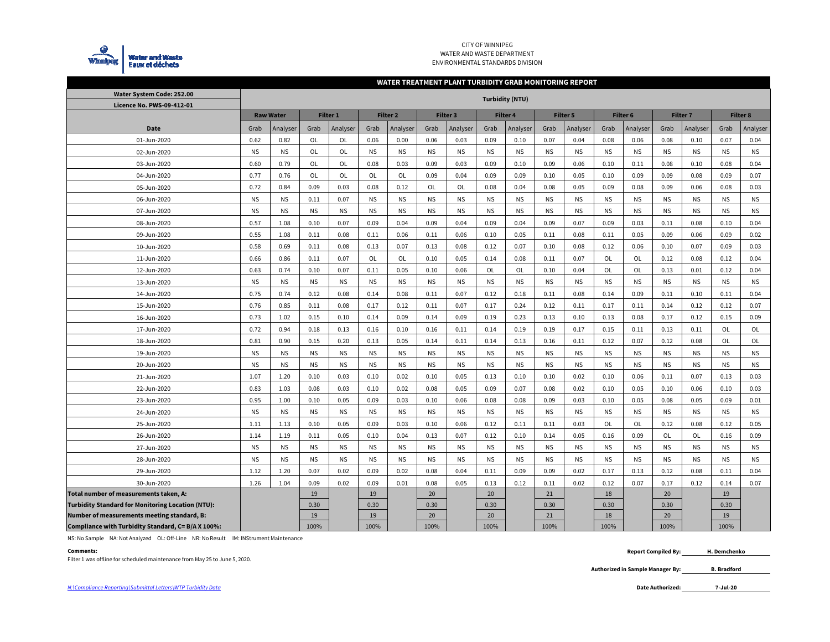

#### CITY OF WINNIPEG WATER AND WASTE DEPARTMENT ENVIRONMENTAL STANDARDS DIVISION

#### **WATER TREATMENT PLANT TURBIDITY GRAB MONITORING REPORT**

| Water System Code: 252.00                                |           |                  |           |                 |           |                 |           |                     | <b>Turbidity (NTU)</b> |           |           |           |           |                     |           |                 |           |                 |
|----------------------------------------------------------|-----------|------------------|-----------|-----------------|-----------|-----------------|-----------|---------------------|------------------------|-----------|-----------|-----------|-----------|---------------------|-----------|-----------------|-----------|-----------------|
| Licence No. PWS-09-412-01                                |           |                  |           |                 |           |                 |           |                     |                        |           |           |           |           |                     |           |                 |           |                 |
|                                                          |           | <b>Raw Water</b> |           | <b>Filter 1</b> |           | <b>Filter 2</b> |           | Filter <sub>3</sub> |                        | Filter 4  |           | Filter 5  |           | Filter <sub>6</sub> |           | <b>Filter 7</b> |           | <b>Filter 8</b> |
| <b>Date</b>                                              | Grab      | Analyser         | Grab      | Analyser        | Grab      | Analyser        | Grab      | Analyser            | Grab                   | Analyser  | Grab      | Analyser  | Grab      | Analyser            | Grab      | Analyser        | Grab      | Analyser        |
| 01-Jun-2020                                              | 0.62      | 0.82             | <b>OL</b> | OL              | 0.06      | 0.00            | 0.06      | 0.03                | 0.09                   | 0.10      | 0.07      | 0.04      | 0.08      | 0.06                | 0.08      | 0.10            | 0.07      | 0.04            |
| 02-Jun-2020                                              | <b>NS</b> | <b>NS</b>        | <b>OL</b> | OL              | <b>NS</b> | <b>NS</b>       | <b>NS</b> | <b>NS</b>           | <b>NS</b>              | <b>NS</b> | <b>NS</b> | <b>NS</b> | <b>NS</b> | <b>NS</b>           | <b>NS</b> | <b>NS</b>       | <b>NS</b> | <b>NS</b>       |
| 03-Jun-2020                                              | 0.60      | 0.79             | <b>OL</b> | OL              | 0.08      | 0.03            | 0.09      | 0.03                | 0.09                   | 0.10      | 0.09      | 0.06      | 0.10      | 0.11                | 0.08      | 0.10            | 0.08      | 0.04            |
| 04-Jun-2020                                              | 0.77      | 0.76             | <b>OL</b> | <b>OL</b>       | OL        | OL              | 0.09      | 0.04                | 0.09                   | 0.09      | 0.10      | 0.05      | 0.10      | 0.09                | 0.09      | 0.08            | 0.09      | 0.07            |
| 05-Jun-2020                                              | 0.72      | 0.84             | 0.09      | 0.03            | 0.08      | 0.12            | OL        | OL                  | 0.08                   | 0.04      | 0.08      | 0.05      | 0.09      | 0.08                | 0.09      | 0.06            | 0.08      | 0.03            |
| 06-Jun-2020                                              | <b>NS</b> | <b>NS</b>        | 0.11      | 0.07            | <b>NS</b> | <b>NS</b>       | <b>NS</b> | <b>NS</b>           | <b>NS</b>              | <b>NS</b> | <b>NS</b> | <b>NS</b> | <b>NS</b> | <b>NS</b>           | <b>NS</b> | <b>NS</b>       | <b>NS</b> | <b>NS</b>       |
| 07-Jun-2020                                              | <b>NS</b> | <b>NS</b>        | <b>NS</b> | <b>NS</b>       | <b>NS</b> | <b>NS</b>       | <b>NS</b> | <b>NS</b>           | <b>NS</b>              | <b>NS</b> | <b>NS</b> | <b>NS</b> | <b>NS</b> | <b>NS</b>           | <b>NS</b> | <b>NS</b>       | <b>NS</b> | <b>NS</b>       |
| 08-Jun-2020                                              | 0.57      | 1.08             | 0.10      | 0.07            | 0.09      | 0.04            | 0.09      | 0.04                | 0.09                   | 0.04      | 0.09      | 0.07      | 0.09      | 0.03                | 0.11      | 0.08            | 0.10      | 0.04            |
| 09-Jun-2020                                              | 0.55      | 1.08             | 0.11      | 0.08            | 0.11      | 0.06            | 0.11      | 0.06                | 0.10                   | 0.05      | 0.11      | 0.08      | 0.11      | 0.05                | 0.09      | 0.06            | 0.09      | 0.02            |
| 10-Jun-2020                                              | 0.58      | 0.69             | 0.11      | 0.08            | 0.13      | 0.07            | 0.13      | 0.08                | 0.12                   | 0.07      | 0.10      | 0.08      | 0.12      | 0.06                | 0.10      | 0.07            | 0.09      | 0.03            |
| 11-Jun-2020                                              | 0.66      | 0.86             | 0.11      | 0.07            | OL        | OL              | 0.10      | 0.05                | 0.14                   | 0.08      | 0.11      | 0.07      | OL        | OL                  | 0.12      | 0.08            | 0.12      | 0.04            |
| 12-Jun-2020                                              | 0.63      | 0.74             | 0.10      | 0.07            | 0.11      | 0.05            | 0.10      | 0.06                | OL                     | OL        | 0.10      | 0.04      | OL        | OL                  | 0.13      | 0.01            | 0.12      | 0.04            |
| 13-Jun-2020                                              | <b>NS</b> | <b>NS</b>        | <b>NS</b> | <b>NS</b>       | <b>NS</b> | <b>NS</b>       | <b>NS</b> | <b>NS</b>           | <b>NS</b>              | <b>NS</b> | <b>NS</b> | <b>NS</b> | <b>NS</b> | <b>NS</b>           | <b>NS</b> | <b>NS</b>       | <b>NS</b> | <b>NS</b>       |
| 14-Jun-2020                                              | 0.75      | 0.74             | 0.12      | 0.08            | 0.14      | 0.08            | 0.11      | 0.07                | 0.12                   | 0.18      | 0.11      | 0.08      | 0.14      | 0.09                | 0.11      | 0.10            | 0.11      | 0.04            |
| 15-Jun-2020                                              | 0.76      | 0.85             | 0.11      | 0.08            | 0.17      | 0.12            | 0.11      | 0.07                | 0.17                   | 0.24      | 0.12      | 0.11      | 0.17      | 0.11                | 0.14      | 0.12            | 0.12      | 0.07            |
| 16-Jun-2020                                              | 0.73      | 1.02             | 0.15      | 0.10            | 0.14      | 0.09            | 0.14      | 0.09                | 0.19                   | 0.23      | 0.13      | 0.10      | 0.13      | 0.08                | 0.17      | 0.12            | 0.15      | 0.09            |
| 17-Jun-2020                                              | 0.72      | 0.94             | 0.18      | 0.13            | 0.16      | 0.10            | 0.16      | 0.11                | 0.14                   | 0.19      | 0.19      | 0.17      | 0.15      | 0.11                | 0.13      | 0.11            | OL        | OL              |
| 18-Jun-2020                                              | 0.81      | 0.90             | 0.15      | 0.20            | 0.13      | 0.05            | 0.14      | 0.11                | 0.14                   | 0.13      | 0.16      | 0.11      | 0.12      | 0.07                | 0.12      | 0.08            | OL        | OL              |
| 19-Jun-2020                                              | <b>NS</b> | <b>NS</b>        | <b>NS</b> | <b>NS</b>       | <b>NS</b> | <b>NS</b>       | <b>NS</b> | <b>NS</b>           | <b>NS</b>              | <b>NS</b> | <b>NS</b> | <b>NS</b> | <b>NS</b> | <b>NS</b>           | <b>NS</b> | <b>NS</b>       | <b>NS</b> | <b>NS</b>       |
| 20-Jun-2020                                              | <b>NS</b> | <b>NS</b>        | <b>NS</b> | <b>NS</b>       | <b>NS</b> | <b>NS</b>       | <b>NS</b> | <b>NS</b>           | <b>NS</b>              | <b>NS</b> | <b>NS</b> | <b>NS</b> | <b>NS</b> | <b>NS</b>           | <b>NS</b> | <b>NS</b>       | <b>NS</b> | <b>NS</b>       |
| 21-Jun-2020                                              | 1.07      | 1.20             | 0.10      | 0.03            | 0.10      | 0.02            | 0.10      | 0.05                | 0.13                   | 0.10      | 0.10      | 0.02      | 0.10      | 0.06                | 0.11      | 0.07            | 0.13      | 0.03            |
| 22-Jun-2020                                              | 0.83      | 1.03             | 0.08      | 0.03            | 0.10      | 0.02            | 0.08      | 0.05                | 0.09                   | 0.07      | 0.08      | 0.02      | 0.10      | 0.05                | 0.10      | 0.06            | 0.10      | 0.03            |
| 23-Jun-2020                                              | 0.95      | 1.00             | 0.10      | 0.05            | 0.09      | 0.03            | 0.10      | 0.06                | 0.08                   | 0.08      | 0.09      | 0.03      | 0.10      | 0.05                | 0.08      | 0.05            | 0.09      | 0.01            |
| 24-Jun-2020                                              | <b>NS</b> | <b>NS</b>        | <b>NS</b> | <b>NS</b>       | <b>NS</b> | <b>NS</b>       | <b>NS</b> | <b>NS</b>           | <b>NS</b>              | <b>NS</b> | <b>NS</b> | <b>NS</b> | <b>NS</b> | <b>NS</b>           | <b>NS</b> | <b>NS</b>       | <b>NS</b> | <b>NS</b>       |
| 25-Jun-2020                                              | 1.11      | 1.13             | 0.10      | 0.05            | 0.09      | 0.03            | 0.10      | 0.06                | 0.12                   | 0.11      | 0.11      | 0.03      | OL        | OL                  | 0.12      | 0.08            | 0.12      | 0.05            |
| 26-Jun-2020                                              | 1.14      | 1.19             | 0.11      | 0.05            | 0.10      | 0.04            | 0.13      | 0.07                | 0.12                   | 0.10      | 0.14      | 0.05      | 0.16      | 0.09                | OL        | OL              | 0.16      | 0.09            |
| 27-Jun-2020                                              | <b>NS</b> | <b>NS</b>        | <b>NS</b> | <b>NS</b>       | <b>NS</b> | <b>NS</b>       | <b>NS</b> | <b>NS</b>           | <b>NS</b>              | <b>NS</b> | <b>NS</b> | <b>NS</b> | <b>NS</b> | <b>NS</b>           | <b>NS</b> | <b>NS</b>       | <b>NS</b> | <b>NS</b>       |
| 28-Jun-2020                                              | <b>NS</b> | <b>NS</b>        | ΝS.       | <b>NS</b>       | <b>NS</b> | <b>NS</b>       | <b>NS</b> | <b>NS</b>           | <b>NS</b>              | <b>NS</b> | <b>NS</b> | <b>NS</b> | <b>NS</b> | <b>NS</b>           | <b>NS</b> | <b>NS</b>       | <b>NS</b> | <b>NS</b>       |
| 29-Jun-2020                                              | 1.12      | 1.20             | 0.07      | 0.02            | 0.09      | 0.02            | 0.08      | 0.04                | 0.11                   | 0.09      | 0.09      | 0.02      | 0.17      | 0.13                | 0.12      | 0.08            | 0.11      | 0.04            |
| 30-Jun-2020                                              | 1.26      | 1.04             | 0.09      | 0.02            | 0.09      | 0.01            | 0.08      | 0.05                | 0.13                   | 0.12      | 0.11      | 0.02      | 0.12      | 0.07                | 0.17      | 0.12            | 0.14      | 0.07            |
| Total number of measurements taken, A:                   |           |                  | 19        |                 | 19        |                 | 20        |                     | 20                     |           | 21        |           | 18        |                     | 20        |                 | 19        |                 |
| <b>Turbidity Standard for Monitoring Location (NTU):</b> |           |                  | 0.30      |                 | 0.30      |                 | 0.30      |                     | 0.30                   |           | 0.30      |           | 0.30      |                     | 0.30      |                 | 0.30      |                 |
| Number of measurements meeting standard, B:              |           |                  | 19        |                 | 19        |                 | 20        |                     | 20                     |           | 21        |           | 18        |                     | 20        |                 | 19        |                 |
| Compliance with Turbidity Standard, C= B/A X 100%:       |           |                  | 100%      |                 | 100%      |                 | 100%      |                     | 100%                   |           | 100%      |           | 100%      |                     | 100%      |                 | 100%      |                 |

NS: No Sample NA: Not Analyzed OL: Off-Line NR: No Result IM: INStrument Maintenance

#### **Comments:**

Filter 1 was offline for scheduled maintenance from May 25 to June 5, 2020.

 **Report Compiled By: H. Demchenko**

> **Authorized in Sample Manager By: B. Bradford**

**7-Jul-20**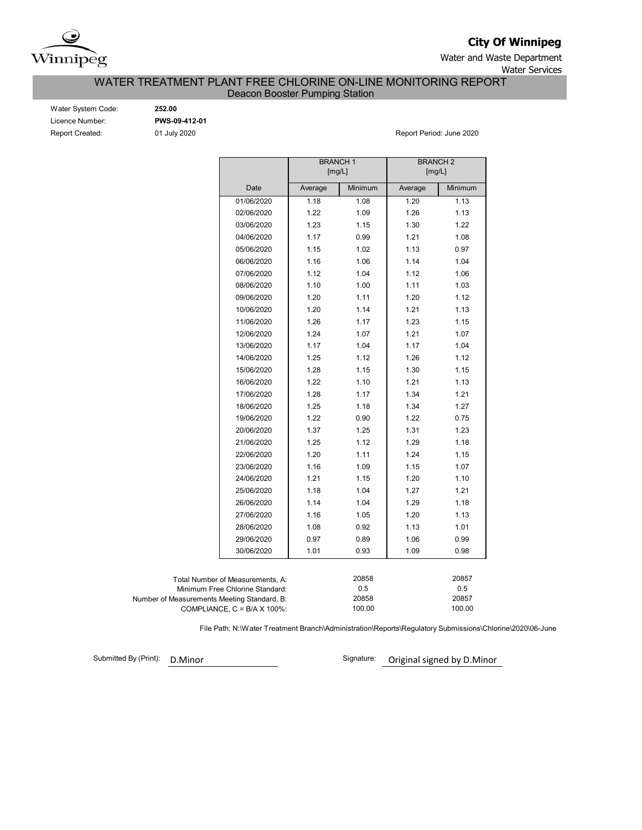

**City Of Winnipeg**

Water and Waste Department Water Services

WATER TREATMENT PLANT FREE CHLORINE ON-LINE MONITORING REPORT

Deacon Booster Pumping Station

| Water System Code:     |
|------------------------|
| Licence Number:        |
| <b>Report Created:</b> |

Water System Code: **252.00** Licence Number: **PWS-09-412-01**

01 July 2020 **Report Period: June 2020** 

|                                             |                                      | <b>BRANCH1</b><br>[mg/L] |         | <b>BRANCH 2</b><br>[mg/L] |         |
|---------------------------------------------|--------------------------------------|--------------------------|---------|---------------------------|---------|
|                                             | Date                                 | Average                  | Minimum | Average                   | Minimum |
|                                             | 01/06/2020                           | 1.18                     | 1.08    | 1.20                      | 1.13    |
|                                             | 02/06/2020                           | 1.22                     | 1.09    | 1.26                      | 1.13    |
|                                             | 03/06/2020                           | 1.23                     | 1.15    | 1.30                      | 1.22    |
|                                             | 04/06/2020                           | 1.17                     | 0.99    | 1.21                      | 1.08    |
|                                             | 05/06/2020                           | 1.15                     | 1.02    | 1.13                      | 0.97    |
|                                             | 06/06/2020                           | 1.16                     | 1.06    | 1.14                      | 1.04    |
|                                             | 07/06/2020                           | 1.12                     | 1.04    | 1.12                      | 1.06    |
|                                             | 08/06/2020                           | 1.10                     | 1.00    | 1.11                      | 1.03    |
|                                             | 09/06/2020                           | 1.20                     | 1.11    | 1.20                      | 1.12    |
|                                             | 10/06/2020                           | 1.20                     | 1.14    | 1.21                      | 1.13    |
|                                             | 11/06/2020                           | 1.26                     | 1.17    | 1.23                      | 1.15    |
|                                             | 12/06/2020                           | 1.24                     | 1.07    | 1.21                      | 1.07    |
|                                             | 13/06/2020                           | 1.17                     | 1.04    | 1.17                      | 1.04    |
|                                             | 14/06/2020                           | 1.25                     | 1.12    | 1.26                      | 1.12    |
|                                             | 15/06/2020                           | 1.28                     | 1.15    | 1.30                      | 1.15    |
|                                             | 16/06/2020                           | 1.22                     | 1.10    | 1.21                      | 1.13    |
|                                             | 17/06/2020                           | 1.28                     | 1.17    | 1.34                      | 1.21    |
|                                             | 18/06/2020                           | 1.25                     | 1.18    | 1.34                      | 1.27    |
|                                             | 19/06/2020                           | 1.22                     | 0.90    | 1.22                      | 0.75    |
|                                             | 20/06/2020                           | 1.37                     | 1.25    | 1.31                      | 1.23    |
|                                             | 21/06/2020                           | 1.25                     | 1.12    | 1.29                      | 1.18    |
|                                             | 22/06/2020                           | 1.20                     | 1.11    | 1.24                      | 1.15    |
|                                             | 23/06/2020                           | 1.16                     | 1.09    | 1.15                      | 1.07    |
|                                             | 24/06/2020                           | 1.21                     | 1.15    | 1.20                      | 1.10    |
|                                             | 25/06/2020                           | 1.18                     | 1.04    | 1.27                      | 1.21    |
|                                             | 26/06/2020                           | 1.14                     | 1.04    | 1.29                      | 1.18    |
|                                             | 27/06/2020                           | 1.16                     | 1.05    | 1.20                      | 1.13    |
|                                             | 28/06/2020                           | 1.08                     | 0.92    | 1.13                      | 1.01    |
|                                             | 29/06/2020                           | 0.97                     | 0.89    | 1.06                      | 0.99    |
|                                             | 30/06/2020                           | 1.01                     | 0.93    | 1.09                      | 0.98    |
|                                             |                                      |                          |         |                           |         |
|                                             | Total Number of Measurements, A:     |                          | 20858   |                           | 20857   |
|                                             | Minimum Free Chlorine Standard:      |                          | 0.5     |                           | 0.5     |
| Number of Measurements Meeting Standard, B: |                                      |                          | 20858   |                           | 20857   |
|                                             | COMPLIANCE, $C = B/A \times 100\%$ : |                          | 100.00  |                           | 100.00  |

File Path: N:\Water Treatment Branch\Administration\Reports\Regulatory Submissions\Chlorine\2020\06-June

Submitted By (Print): D.Minor

Signature: Original signed by D.Minor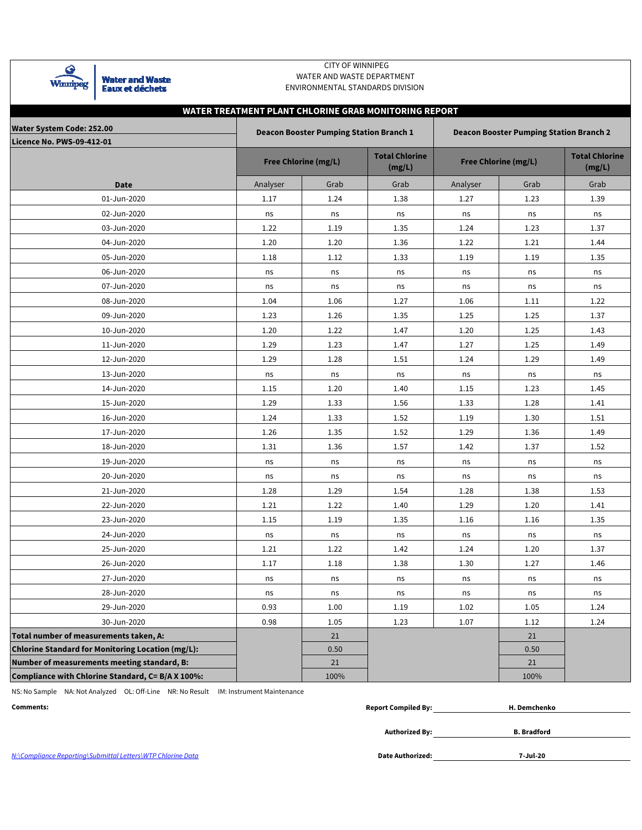| шп |
|----|

**Water and Waste<br>Eaux et déchets** 

### CITY OF WINNIPEG WATER AND WASTE DEPARTMENT ENVIRONMENTAL STANDARDS DIVISION

|                                                   |          |                                                | WATER TREATMENT PLANT CHLORINE GRAB MONITORING REPORT |          |                                                |                                 |
|---------------------------------------------------|----------|------------------------------------------------|-------------------------------------------------------|----------|------------------------------------------------|---------------------------------|
| <b>Water System Code: 252.00</b>                  |          | <b>Deacon Booster Pumping Station Branch 1</b> |                                                       |          | <b>Deacon Booster Pumping Station Branch 2</b> |                                 |
| <b>Licence No. PWS-09-412-01</b>                  |          |                                                |                                                       |          |                                                |                                 |
|                                                   |          | Free Chlorine (mg/L)                           | <b>Total Chlorine</b><br>(mg/L)                       |          | Free Chlorine (mg/L)                           | <b>Total Chlorine</b><br>(mg/L) |
| Date                                              | Analyser | Grab                                           | Grab                                                  | Analyser | Grab                                           | Grab                            |
| 01-Jun-2020                                       | 1.17     | 1.24                                           | 1.38                                                  | 1.27     | 1.23                                           | 1.39                            |
| 02-Jun-2020                                       | ns       | ns                                             | ns                                                    | ns       | ns                                             | ns                              |
| 03-Jun-2020                                       | 1.22     | 1.19                                           | 1.35                                                  | 1.24     | 1.23                                           | 1.37                            |
| 04-Jun-2020                                       | 1.20     | 1.20                                           | 1.36                                                  | 1.22     | 1.21                                           | 1.44                            |
| 05-Jun-2020                                       | 1.18     | 1.12                                           | 1.33                                                  | 1.19     | 1.19                                           | 1.35                            |
| 06-Jun-2020                                       | ns       | ns                                             | ns                                                    | ns       | ns                                             | ns                              |
| 07-Jun-2020                                       | ns       | ns                                             | ns                                                    | ns       | ns                                             | ns                              |
| 08-Jun-2020                                       | 1.04     | 1.06                                           | 1.27                                                  | 1.06     | 1.11                                           | 1.22                            |
| 09-Jun-2020                                       | 1.23     | 1.26                                           | 1.35                                                  | 1.25     | 1.25                                           | 1.37                            |
| 10-Jun-2020                                       | 1.20     | 1.22                                           | 1.47                                                  | 1.20     | 1.25                                           | 1.43                            |
| 11-Jun-2020                                       | 1.29     | 1.23                                           | 1.47                                                  | 1.27     | 1.25                                           | 1.49                            |
| 12-Jun-2020                                       | 1.29     | 1.28                                           | 1.51                                                  | 1.24     | 1.29                                           | 1.49                            |
| 13-Jun-2020                                       | ns       | ns                                             | ns                                                    | ns       | ns                                             | ns                              |
| 14-Jun-2020                                       | 1.15     | 1.20                                           | 1.40                                                  | 1.15     | 1.23                                           | 1.45                            |
| 15-Jun-2020                                       | 1.29     | 1.33                                           | 1.56                                                  | 1.33     | 1.28                                           | 1.41                            |
| 16-Jun-2020                                       | 1.24     | 1.33                                           | 1.52                                                  | 1.19     | 1.30                                           | 1.51                            |
| 17-Jun-2020                                       | 1.26     | 1.35                                           | 1.52                                                  | 1.29     | 1.36                                           | 1.49                            |
| 18-Jun-2020                                       | 1.31     | 1.36                                           | 1.57                                                  | 1.42     | 1.37                                           | 1.52                            |
| 19-Jun-2020                                       | ns       | ns                                             | ns                                                    | ns       | ns                                             | ns                              |
| 20-Jun-2020                                       | ns       | ns                                             | ns                                                    | ns       | ns                                             | ns                              |
| 21-Jun-2020                                       | 1.28     | 1.29                                           | 1.54                                                  | 1.28     | 1.38                                           | 1.53                            |
| 22-Jun-2020                                       | 1.21     | 1.22                                           | 1.40                                                  | 1.29     | 1.20                                           | 1.41                            |
| 23-Jun-2020                                       | 1.15     | 1.19                                           | 1.35                                                  | 1.16     | 1.16                                           | 1.35                            |
| 24-Jun-2020                                       | ns       | ns                                             | ns                                                    | ns       | ns                                             | ns                              |
| 25-Jun-2020                                       | 1.21     | 1.22                                           | 1.42                                                  | 1.24     | 1.20                                           | 1.37                            |
| 26-Jun-2020                                       | 1.17     | 1.18                                           | 1.38                                                  | 1.30     | 1.27                                           | 1.46                            |
| 27-Jun-2020                                       | ns       | ns                                             | ns                                                    | ns       | ns                                             | ns                              |
| 28-Jun-2020                                       | ns       | ns                                             | ns                                                    | ns       | ns                                             | ns                              |
| 29-Jun-2020                                       | 0.93     | 1.00                                           | 1.19                                                  | 1.02     | 1.05                                           | 1.24                            |
| 30-Jun-2020                                       | 0.98     | 1.05                                           | 1.23                                                  | 1.07     | 1.12                                           | 1.24                            |
| Total number of measurements taken, A:            |          | 21                                             |                                                       |          | 21                                             |                                 |
| Chlorine Standard for Monitoring Location (mg/L): |          | 0.50                                           |                                                       |          | 0.50                                           |                                 |
| Number of measurements meeting standard, B:       |          | 21                                             |                                                       |          | 21                                             |                                 |
| Compliance with Chlorine Standard, C= B/A X 100%: |          | 100%                                           |                                                       |          | 100%                                           |                                 |

NS: No Sample NA: Not Analyzed OL: Off-Line NR: No Result IM: Instrument Maintenance

**Comments: Report Compiled By: H. Demchenko**

**Authorized By: B. Bradford**

N:\Compliance Reporting\Submittal Letters\WTP Chlorine Data

**7-Jul-20**